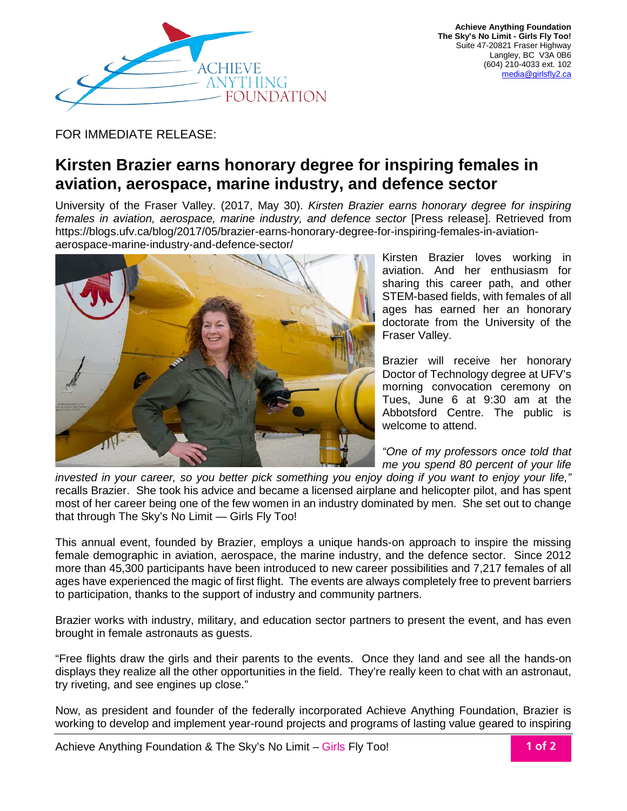

FOR IMMEDIATE RELEASE:

## **Kirsten Brazier earns honorary degree for inspiring females in aviation, aerospace, marine industry, and defence sector**

University of the Fraser Valley. (2017, May 30). *Kirsten Brazier earns honorary degree for inspiring females in aviation, aerospace, marine industry, and defence sector* [Press release]. Retrieved from https://blogs.ufv.ca/blog/2017/05/brazier-earns-honorary-degree-for-inspiring-females-in-aviationaerospace-marine-industry-and-defence-sector/



Kirsten Brazier loves working in aviation. And her enthusiasm for sharing this career path, and other STEM-based fields, with females of all ages has earned her an honorary doctorate from the University of the Fraser Valley.

Brazier will receive her honorary Doctor of Technology degree at UFV's morning convocation ceremony on Tues, June 6 at 9:30 am at the Abbotsford Centre. The public is welcome to attend.

*"One of my professors once told that me you spend 80 percent of your life* 

*invested in your career, so you better pick something you enjoy doing if you want to enjoy your life,"* recalls Brazier. She took his advice and became a licensed airplane and helicopter pilot, and has spent most of her career being one of the few women in an industry dominated by men. She set out to change that through The Sky's No Limit — Girls Fly Too!

This annual event, founded by Brazier, employs a unique hands-on approach to inspire the missing female demographic in aviation, aerospace, the marine industry, and the defence sector. Since 2012 more than 45,300 participants have been introduced to new career possibilities and 7,217 females of all ages have experienced the magic of first flight. The events are always completely free to prevent barriers to participation, thanks to the support of industry and community partners.

Brazier works with industry, military, and education sector partners to present the event, and has even brought in female astronauts as guests.

"Free flights draw the girls and their parents to the events. Once they land and see all the hands-on displays they realize all the other opportunities in the field. They're really keen to chat with an astronaut, try riveting, and see engines up close."

Now, as president and founder of the federally incorporated Achieve Anything Foundation, Brazier is working to develop and implement year-round projects and programs of lasting value geared to inspiring